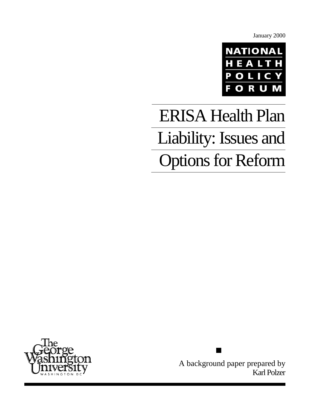January 2000



# ERISA Health Plan Liability: Issues and Options for Reform



A background paper prepared by Karl Polzer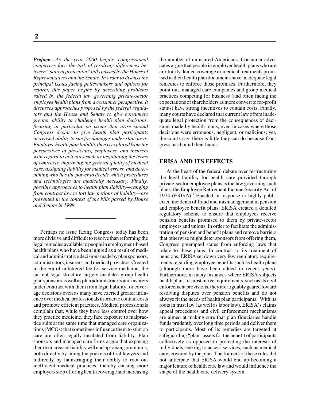*Preface—As the year 2000 begins, congressional conferrees face the task of resolving differences between "patient protection" bills passed by the House of Representatives and the Senate. In order to discuss the principal issues facing policymakers and options for reform, this paper begins by describing problems raised by the federal law governing private-sector employee health plans from a consumer perspective. It discusses approaches proposed by the federal regulators and the House and Senate to give consumers greater ability to challenge health plan decisions, focusing in particular on issues that arise should Congress decide to give health plan participants increased ability to sue for damages under state laws. Employee health plan liability then is explored from the perspectives of physicians, employers, and insurers with regard to activities such as negotiating the terms of contracts, improving the general quality of medical care, assigning liability for medical errors, and determining who has the power to decide which procedures and technologies are medically necessary. Finally, possible approaches to health plan liability—ranging from contract law to tort law notions of liability—are presented in the context of the bills passed by House and Senate in 1999.*

Perhaps no issue facing Congress today has been more divisive and difficult to resolve than reforming the legal remedies available to people in employment-based health plans who have been injured as a result of medical and administrative decisions made by plan sponsors, administrators, insurers, and medical providers. Created in the era of unfettered fee-for-service medicine, the current legal structure largely insulates group health plan sponsors as well as plan administrators and insurers under contract with them from legal liability for coverage decisions even as many have exerted greater influence over medical professionals in order to contain costs and promote efficient practices. Medical professionals complain that, while they have less control over how they practice medicine, they face exposure to malpractice suits at the same time that managed care organizations (MCOs) that sometimes influence them to stint on care are often legally insulated from liability. Plan sponsors and managed care firms argue that exposing them to increased liability will end up raising premiums, both directly by lining the pockets of trial lawyers and indirectly by hamstringing their ability to root out inefficient medical practices, thereby causing more employers stop offering health coverage and increasing the number of uninsured Americans. Consumer advocates argue that people in employer health plans who are arbitrarily denied coverage or medical treatments promised in their health plan documents have inadequate legal remedies to enforce those promises. Furthermore, they point out, managed care companies and group medical practices competing for business (and often facing the expectations of shareholders as more convert to for-profit status) have strong incentives to contain costs. Finally, many courts have declared that current law offers inadequate legal protection from the consequences of decisions made by health plans, even in cases where those decisions were erroneous, negligent, or malicious; yet, the courts say, there is little they can do because Congress has bound their hands.

#### **ERISA AND ITS EFFECTS**

At the heart of the federal debate over restructuring the legal liability for health care provided through private-sector employee plans is the law governing such plans: the Employee Retirement Income Security Act of 1974 (ERISA).<sup>1</sup> Enacted in response to highly publicized incidents of fraud and mismanagement in pension and employee benefit plans, ERISA created a detailed regulatory scheme to ensure that employees receive pension benefits promised to them by private-sector employers and unions. In order to facilitate the administration of pension and benefit plans and remove barriers that otherwise might deter sponsors from offering them, Congress preempted states from enforcing laws that relate to these plans. In contrast to its treatment of pensions, ERISA set down very few regulatory requirements regarding employee benefits such as health plans (although more have been added in recent years). Furthermore, in many instances where ERISA subjects health plans to substantive requirements, such as its civil enforcement provisions, they are arguably geared toward resolving disputes over pension benefits and do not always fit the needs of health plan participants. With its roots in trust law (as well as labor law), ERISA's claims appeal procedures and civil enforcement mechanisms are aimed at making sure that plan fiduciaries handle funds prudently over long time periods and deliver them to participants. Most of its remedies are targeted at safeguarding "plan" assets for the benefit of participants collectively as opposed to protecting the interests of individuals seeking to access services, such as medical care, covered by the plan. The framers of these rules did not anticipate that ERISA would end up becoming a major feature of health care law and would influence the shape of the health care delivery system.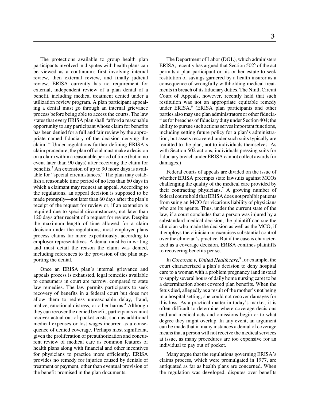The protections available to group health plan participants involved in disputes with health plans can be viewed as a continuum: first involving internal review, then external review, and finally judicial review. ERISA currently has no requirement for external, independent review of a plan denial of a benefit, including medical treatment denied under a utilization review program. A plan participant appealing a denial must go through an internal grievance process before being able to access the courts. The law states that every ERISA plan shall "afford a reasonable opportunity to any participant whose claim for benefits has been denied for a full and fair review by the appropriate named fiduciary of the decision denying the claim."2 Under regulations further defining ERISA's claim procedure, the plan official must make a decision on a claim within a reasonable period of time (but in no event later than 90 days) after receiving the claim for benefits.<sup>3</sup> An extension of up to 90 more days is available for "special circumstances." The plan may establish a reasonable time period of no less than 60 days in which a claimant may request an appeal. According to the regulations, an appeal decision is supposed to be made promptly—not later than 60 days after the plan's receipt of the request for review or, if an extension is required due to special circumstances, not later than 120 days after receipt of a request for review. Despite the maximum length of time allowed for a claim decision under the regulations, most employer plans process claims far more expeditiously, according to employer representatives. A denial must be in writing and must detail the reason the claim was denied, including references to the provision of the plan supporting the denial.

Once an ERISA plan's internal grievance and appeals process is exhausted, legal remedies available to consumers in court are narrow, compared to state law remedies. The law permits participants to seek recovery of benefits in a federal court but does not allow them to redress unreasonable delay, fraud, malice, emotional distress, or other harms.<sup>4</sup> Although they can recover the denied benefit, participants cannot recover actual out-of-pocket costs, such as additional medical expenses or lost wages incurred as a consequence of denied coverage. Perhaps most significant, given the proliferation of preauthorization and concurrent review of medical care as common features of health plans along with financial and other incentives for physicians to practice more efficiently, ERISA provides no remedy for injuries caused by denials of treatment or payment, other than eventual provision of the benefit promised in the plan documents.

The Department of Labor (DOL), which administers ERISA, recently has argued that Section  $502<sup>5</sup>$  of the act permits a plan participant or his or her estate to seek restitution of savings garnered by a health insurer as a consequence of wrongfully withholding medical treatments in breach of its fiduciary duties. The Ninth Circuit Court of Appeals, however, recently held that such restitution was not an appropriate equitable remedy under ERISA.<sup>6</sup> (ERISA plan participants and other parties also may sue plan administrators or other fiduciaries for breaches of fiduciary duty under Section 404; the ability to pursue such actions serves important functions, including setting future policy for a plan's administration, but assets recovered under such suits typically are remitted to the plan, not to individuals themselves. As with Section 502 actions, individuals pressing suits for fiduciary breach under ERISA cannot collect awards for damages.)

Federal courts of appeals are divided on the issue of whether ERISA preempts state lawsuits against MCOs challenging the quality of the medical care provided by their contracting physicians.<sup>7</sup> A growing number of federal courts hold that ERISA does not prohibit patients from suing an MCO for vicarious liability of physicians who are its agents. Thus, under the current state of the law, if a court concludes that a person was injured by a substandard medical decision, the plaintiff can sue the clinician who made the decision as well as the MCO, if it employs the clinician or exercises substantial control over the clinician's practice. But if the case is characterized as a coverage decision, ERISA confines plaintiffs to recovering benefits per se.

In *Corcoran v. United Healthcare*,<sup>8</sup> for example, the court characterized a plan's decision to deny hospital care to a woman with a problem pregnancy (and instead to supply several hours of daily home nursing care) to be a determination about covered plan benefits. When the fetus died, allegedly as a result of the mother's not being in a hospital setting, she could not recover damages for this loss. As a practical matter in today's market, it is often difficult to determine where coverage decisions end and medical acts and omissions begin or to what degree they might overlap. In any event, an argument can be made that in many instances a denial of coverage means that a person will not receive the medical services at issue, as many procedures are too expensive for an individual to pay out of pocket.

Many argue that the regulations governing ERISA's claims process, which were promulgated in 1977, are antiquated as far as health plans are concerned. When the regulation was developed, disputes over benefits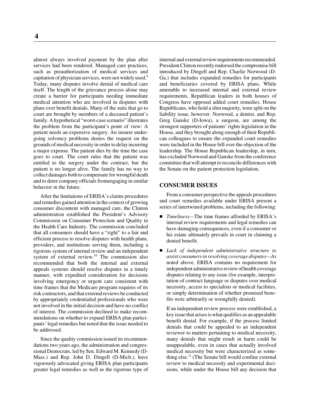almost always involved payment by the plan after services had been rendered. Managed care practices, such as preauthorization of medical services and capitation of physician services, were not widely used.<sup>9</sup> Today, many disputes involve denial of medical care itself. The length of the grievance process alone may create a barrier for participants needing immediate medical attention who are involved in disputes with plans over benefit denials. Many of the suits that go to court are brought by members of a deceased patient's family. A hypothetical "worst-case scenario" illustrates the problem from the participant's point of view: A patient needs an expensive surgery. An insurer undergoing solvency problems denies the request on the grounds of medical necessity in order to delay incurring a major expense. The patient dies by the time the case goes to court. The court rules that the patient was entitled to the surgery under the contract, but the patient is no longer alive. The family has no way to collect damages both to compensate for wrongful death and to deter company officials fromengaging in similar behavior in the future.

After the limitations of ERISA's claims procedures and remedies gained attention in the context of growing consumer discontent with managed care, the Clinton administration established the President's Advisory Commission on Consumer Protection and Quality in the Health Care Industry. The commission concluded that all consumers should have a "right" to a fair and efficient process to resolve disputes with health plans, providers, and institutions serving them, including a rigorous system of internal review and an independent system of external review.<sup>10</sup> The commission also recommended that both the internal and external appeals systems should resolve disputes in a timely manner, with expedited consideration for decisions involving emergency or urgent care consistent with time frames that the Medicare program requires of its risk contractors, and that external reviews be conducted by appropriately credentialed professionals who were not involved in the initial decision and have no conflict of interest. The commission declined to make recommendations on whether to expand ERISA plan participants' legal remedies but noted that the issue needed to be addressed.

Since the quality commission issued its recommendations two years ago, the administration and congressional Democrats, led by Sen. Edward M. Kennedy (D-Mass.) and Rep. John D. Dingell (D-Mich.), have vigorously advocated giving ERISA plan participants greater legal remedies as well as the rigorous type of internal and external review requirements recommended. President Clinton recently endorsed the compromise bill introduced by Dingell and Rep. Charlie Norwood (D-Ga.) that includes expanded remedies for participants and beneficiaries covered by ERISA plans. While amenable to increased internal and external review requirements, Republican leaders in both houses of Congress have opposed added court remedies. House Republicans, who hold a slim majority, were split on the liability issue, however. Norwood, a dentist, and Rep. Greg Ganske (D-Iowa), a surgeon, are among the strongest supporters of patients' rights legislation in the House, and they brought along enough of their Republican colleagues to ensure the expanded court remedies were included in the House bill over the objection of the leadership. The House Republican leadership, in turn, has excluded Norwood and Ganske from the conference committee that will attempt to reconcile differences with the Senate on the patient protection legislation.

#### **CONSUMER ISSUES**

From a consumer perspective the appeals procedures and court remedies available under ERISA present a series of intertwined problems, including the following:

- *Timeliness*—The time frames afforded by ERISA's internal review requirements and legal remedies can have damaging consequences, even if a consumer or his estate ultimately prevails in court in claiming a denied benefit.
- *Lack of independent administrative structure to assist consumers in resolving coverage disputes—As* noted above, ERISA contains no requirement for independent administrative review of health coverage disputes relating to any issue (for example, interpretation of contract language or disputes over medical necessity, access to specialists or medical facilities, or simply determination of whether promised benefits were arbitrarily or wrongfully denied).

If an independent review process were established, a key issue that arises is what qualifies as an appealable benefit denial. For example, if the process limited denials that could be appealed to an independent reviewer to matters pertaining to medical necessity, many denials that might result in harm could be unappealable, even in cases that actually involved medical necessity but were characterized as something else.<sup>11</sup> (The Senate bill would confine external review to medical necessity and experimental decisions, while under the House bill any decision that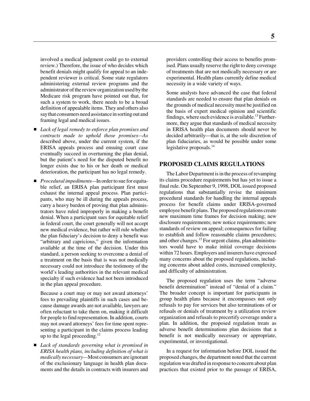involved a medical judgment could go to external review.) Therefore, the issue of who decides which benefit denials might qualify for appeal to an independent reviewer is critical. Some state regulators administering external review programs and the administrator of the review organization used by the Medicare risk program have pointed out that, for such a system to work, there needs to be a broad definition of appealable items. They and others also say that consumers need assistance in sorting out and framing legal and medical issues.

- *Lack of legal remedy to enforce plan promises and contracts made to uphold those promises—As* described above, under the current system, if the ERISA appeals process and ensuing court case eventually succeed in overturning the plan denial, but the patient's need for the disputed benefit no longer exists due to his or her death or medical deterioration, the participant has no legal remedy.
- *Procedural impediments*—In order to sue for equitable relief, an ERISA plan participant first must exhaust the internal appeal process. Plan participants, who may be ill during the appeals process, carry a heavy burden of proving that plan administrators have ruled improperly in making a benefit denial. When a participant sues for equitable relief in federal court, the court generally will not accept new medical evidence, but rather will rule whether the plan fiduciary's decision to deny a benefit was "arbitrary and capricious," given the information available at the time of the decision. Under this standard, a person seeking to overcome a denial of a treatment on the basis that is was not medically necessary could not introduce the testimony of the world's leading authorities in the relevant medical specialty if such evidence had not been introduced in the plan appeal procedure.

Because a court may or may not award attorneys' fees to prevailing plaintiffs in such cases and because damage awards are not available, lawyers are often reluctant to take them on, making it difficult for people to find representation. In addition, courts may not award attorneys' fees for time spent representing a participant in the claims process leading up to the legal proceeding.<sup>12</sup>

 *Lack of standards governing what is promised in ERISA health plans, including definition of what is medically necessary—*Most consumers are ignorant of the exclusionary language in health plan documents and the details in contracts with insurers and

providers controlling their access to benefits promised. Plans usually reserve the right to deny coverage of treatments that are not medically necessary or are experimental. Health plans currently define medical necessity in a wide variety of ways.

Some analysts have advanced the case that federal standards are needed to ensure that plan denials on the grounds of medical necessity must be justified on the basis of expert medical opinion and scientific findings, where such evidence is available.<sup>13</sup> Furthermore, they argue that standards of medical necessity in ERISA health plan documents should never be decided arbitrarily—that is, at the sole discretion of plan fiduciaries, as would be possible under some legislative proposals.<sup>14</sup>

# **PROPOSED CLAIMS REGULATIONS**

The Labor Department is in the process of revamping its claims procedure requirements but has yet to issue a final rule. On September 9, 1998, DOL issued proposed regulations that substantially revise the minimum procedural standards for handling the internal appeals process for benefit claims under ERISA-governed employee benefit plans. The proposed regulations create new maximum time frames for decision making; new disclosure requirements; new notice requirements; new standards of review on appeal; consequences for failing to establish and follow reasonable claims procedures; and other changes.<sup>15</sup> For urgent claims, plan administrators would have to make initial coverage decisions within 72 hours. Employers and insurers have expressed many concerns about the proposed regulations, including concerns about added costs, increased complexity, and difficulty of administration.

The proposed regulation uses the term "adverse benefit determination" instead of "denial of a claim." The broader concept is important for participants in group health plans because it encompasses not only refusals to pay for services but also terminations of or refusals or denials of treatment by a utilization review organization and refusals to precertify coverage under a plan. In addition, the proposed regulation treats as adverse benefit determinations plan decisions that a benefit is not medically necessary or appropriate, experimental, or investigational.

In a request for information before DOL issued the proposed changes, the department noted that the current regulation was drafted in response to concern about plan practices that existed prior to the passage of ERISA,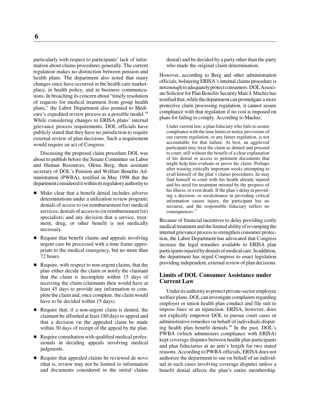**6**

particularly with respect to participants' lack of information about claims procedures generally. The current regulation makes no distinction between pension and health plans. The department also noted that many changes since have occurred in the health care marketplace, in health policy, and in business communications. In broaching its concern about "timely resolution of requests for medical treatment from group health plans," the Labor Department also pointed to Medicare's expedited review process as a possible model.<sup>16</sup> While considering changes to ERISA plans' internal grievance process requirements, DOL officials have publicly stated that they have no jurisdiction to require external review of plan decisions. Such a requirement would require an act of Congress.

Discussing the proposed claim procedure DOL was about to publish before the Senate Committee on Labor and Human Resources, Olena Berg, then assistant secretary of DOL's Pension and Welfare Benefits Administration (PWBA), testified in May 1998 that the department considered it within its regulatory authority to

- Make clear that a benefit denial includes adverse determinations under a utilization review program; denials of access to (or reimbursement for) medical services; denials of access to (or reimbursement for) specialists; and any decision that a service, treatment, drug, or other benefit is not medically necessary.
- Require that benefit claims and appeals involving urgent care be processed with a time frame appropriate to the medical emergency, but no more than 72 hours.
- Require, with respect to non-urgent claims, that the plan either decide the claim or notify the claimant that the claim is incomplete within 15 days of receiving the claim (claimants then would have at least 45 days to provide any information to complete the claim and, once complete, the claim would have to be decided within 15 days).
- Require that, if a non-urgent claim is denied, the claimant be afforded at least 180 days to appeal and that a decision on the appealed claim be made within 30 days of receipt of the appeal by the plan.
- Require consultation with qualified medical professionals in deciding appeals involving medical judgments.
- Require that appealed claims be reviewed de novo (that is, review may not be limited to information and documents considered in the initial claims

denial) and be decided by a party other than the party who made the original claim determination.

However, according to Berg and other administration officials, bolstering ERISA's internal claims procedure is not enough to adequately protect consumers. DOL Associate Solicitor for Plan Benefits Security Marc I. Machiz has testified that, while the department can promulgate a more protective claim processing regulation, it cannot assure compliance with that regulation if no cost is imposed on plans for failing to comply. According to Machiz:

Under current law, a plan fiduciary who fails to assure compliance with the time limits or notice provisions of our current regulation, or any future regulation, is not accountable for that failure. At best, an aggrieved participant may treat the claim as denied and proceed to court, still without the benefit of a clear explanation of his denial or access to pertinent documents that might help him evaluate or prove his claim. Perhaps after wasting critically important weeks attempting to avail himself of the plan's claims procedures, he may find himself in court with his health already injured and his need for treatment mooted by the progress of his illness, or even death. If the plan's delay in providing a decision, or recalcitrance in providing critical information causes injury, the participant has no recourse, and the responsible fiduciary suffers no consequences.17

Because of financial incentives to delay providing costly medical treatment and the limited ability of revamping the internal grievance process to strengthen consumer protection, the Labor Department has advocated that Congress increase the legal remedies available to ERISA plan participants injured by denials of medical care. In addition, the department has urged Congress to enact legislation providing independent, external review of plan decisions.

# **Limits of DOL Consumer Assistance under Current Law**

Under its authority to protect private-sector employee welfare plans, DOL can investigate complaints regarding employer or union health plan conduct and file suit to impose fines or an injunction. ERISA, however, does not explicitly empower DOL to pursue court cases or administrative remedies on behalf of individuals disputing health plan benefit denials. $18$  In the past, DOL's PWBA (which administers compliance with ERISA) kept coverage disputes between health plan participants and plan fiduciaries at an arm's length for two stated reasons. According to PWBA officials, ERISA does not authorize the department to sue on behalf of an individual in such cases involving coverage disputes unless a benefit denial affects the plan's entire membership.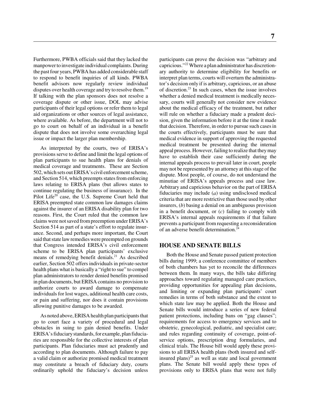Furthermore, PWBA officials said that they lacked the manpower to investigate individual complaints. During the past four years, PWBA has added considerable staff to respond to benefit inquiries of all kinds. PWBA benefit advisors now regularly review individual disputes over health coverage and try to resolve them.<sup>19</sup> If talking with the plan sponsors does not resolve a coverage dispute or other issue, DOL may advise participants of their legal options or refer them to legal aid organizations or other sources of legal assistance, where available. As before, the department will not to go to court on behalf of an individual in a benefit dispute that does not involve some overarching legal issue or impact the larger plan membership.

As interpreted by the courts, two of ERISA's provisions serve to define and limit the legal options of plan participants to sue health plans for denials of medical coverage and treatments. These are Section 502, which sets out ERISA's civil enforcement scheme, and Section 514, which preempts states from enforcing laws relating to ERISA plans (but allows states to continue regulating the business of insurance). In the Pilot Life $^{20}$  case, the U.S. Supreme Court held that ERISA preempted state common law damages claims against the insurer of an ERISA disability plan for two reasons. First, the Court ruled that the common law claims were not saved from preemption under ERISA's Section 514 as part of a state's effort to regulate insurance. Second, and perhaps more important, the Court said that state law remedies were preempted on grounds that Congress intended ERISA's civil enforcement scheme to be ERISA plan participants' exclusive means of remedying benefit denials.<sup>21</sup> As described earlier, Section 502 offers individuals in private-sector health plans what is basically a "right to sue" to compel plan administrators to render denied benefits promised in plan documents, but ERISA contains no provision to authorize courts to award damage to compensate individuals for lost wages, additional health care costs, or pain and suffering, nor does it contain provisions allowing punitive damages to be awarded.

As noted above, ERISA health plan participants that go to court face a variety of procedural and legal obstacles in suing to gain denied benefits. Under ERISA's fiduciary standards, for example, plan fiduciaries are responsible for the collective interests of plan participants. Plan fiduciaries must act prudently and according to plan documents. Although failure to pay a valid claim or authorize promised medical treatment may constitute a breach of fiduciary duty, courts ordinarily uphold the fiduciary's decision unless

participants can prove the decision was "arbitrary and capricious."22 Where a plan administrator has discretionary authority to determine eligibility for benefits or interpret plan terms, courts will overturn the administrator's decision only if is arbitrary, capricious, or an abuse of discretion.23 In such cases, when the issue involves whether a denied medical treatment is medically necessary, courts will generally not consider new evidence about the medical efficacy of the treatment, but rather will rule on whether a fiduciary made a prudent decision, given the information before it at the time it made that decision. Therefore, in order to pursue such cases in the courts effectively, participants must be sure that medical evidence in support of approving the requested medical treatment be presented during the internal appeal process. However, failing to realize that they may have to establish their case sufficiently during the internal appeals process to prevail later in court, people may not be represented by an attorney at this stage of the dispute. Most people, of course, do not understand the minutiae of ERISA's appeals process and case law. Arbitrary and capricious behavior on the part of ERISA fiduciaries may include (*a*) using undisclosed medical criteria that are more restrictive than those used by other insurers, (*b*) basing a denial on an ambiguous provision in a benefit document, or (*c*) failing to comply with ERISA's internal appeals requirements if that failure prevents a participant from requesting a reconsideration of an adverse benefit determination.24

## **HOUSE AND SENATE BILLS**

Both the House and Senate passed patient protection bills during 1999; a conference committee of members of both chambers has yet to reconcile the differences between them. In many ways, the bills take differing approaches toward regulating managed care practices, providing opportunities for appealing plan decisions, and limiting or expanding plan participants' court remedies in terms of both substance and the extent to which state law may be applied. Both the House and Senate bills would introduce a series of new federal patient protections, including bans on "gag clauses"; requirements for access to emergency services and to obstetric, gynecological, pediatric, and specialist care; and rules regarding continuity of coverage, point-ofservice options, prescription drug formularies, and clinical trials. The House bill would apply these provisions to all ERISA health plans (both insured and selfinsured plans) $^{25}$  as well as state and local government plans. The Senate bill would apply these types of provisions only to ERISA plans that were not fully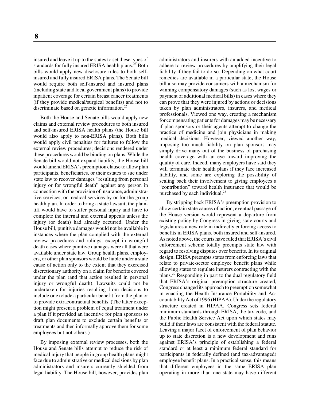insured and leave it up to the states to set these types of standards for fully insured ERISA health plans.<sup>26</sup> Both bills would apply new disclosure rules to both selfinsured and fully insured ERISA plans. The Senate bill would require both self-insured and insured plans (including state and local government plans) to provide inpatient coverage for certain breast cancer treatments (if they provide medical/surgical benefits) and not to discriminate based on genetic information.<sup>27</sup>

Both the House and Senate bills would apply new claims and external review procedures to both insured and self-insured ERISA health plans (the House bill would also apply to non-ERISA plans). Both bills would apply civil penalties for failures to follow the external review procedures; decisions rendered under these procedures would be binding on plans. While the Senate bill would not expand liability, the House bill would amend ERISA's preemption clause to allow plan participants, beneficiaries, or their estates to sue under state law to recover damages "resulting from personal injury or for wrongful death" against any person in connection with the provision of insurance, administrative services, or medical services by or for the group health plan. In order to bring a state lawsuit, the plaintiff would have to suffer personal injury and have to complete the internal and external appeals unless the injury (or death) had already occurred. Under the House bill, punitive damages would not be available in instances where the plan complied with the external review procedures and rulings, except in wrongful death cases where punitive damages were all that were available under state law. Group health plans, employers, or other plan sponsors would be liable under a state cause of action only to the extent that they exercised discretionary authority on a claim for benefits covered under the plan (and that action resulted in personal injury or wrongful death). Lawsuits could not be undertaken for injuries resulting from decisions to include or exclude a particular benefit from the plan or to provide extracontractual benefits. (The latter exception might present a problem of equal treatment under a plan if it provided an incentive for plan sponsors to draft plan documents to exclude certain benefits or treatments and then informally approve them for some employees but not others.)

By imposing external review processes, both the House and Senate bills attempt to reduce the risk of medical injury that people in group health plans might face due to administrative or medical decisions by plan administrators and insurers currently shielded from legal liability. The House bill, however, provides plan

administrators and insurers with an added incentive to adhere to review procedures by amplifying their legal liability if they fail to do so. Depending on what court remedies are available in a particular state, the House bill also may provide consumers with a mechanism for winning compensatory damages (such as lost wages or payment of additional medical bills) in cases where they can prove that they were injured by actions or decisions taken by plan administrators, insurers, and medical professionals. Viewed one way, creating a mechanism for compensating patients for damages may be necessary if plan sponsors or their agents attempt to change the practice of medicine and join physicians in making medical decisions. However, viewed another way, imposing too much liability on plan sponsors may simply drive many out of the business of purchasing health coverage with an eye toward improving the quality of care. Indeed, many employers have said they will terminate their health plans if they face increased liability, and some are exploring the possibility of scaling back their involvement to giving employees a "contribution" toward health insurance that would be purchased by each individual.<sup>28</sup>

By stripping back ERISA's preemption provision to allow certain state causes of action, eventual passage of the House version would represent a departure from existing policy by Congress in giving state courts and legislatures a new role in indirectly enforcing access to benefits in ERISA plans, both insured and self-insured. As noted above, the courts have ruled that ERISA's civil enforcement scheme totally preempts state law with regard to resolving disputes over benefits. In its original design, ERISA preempts states from enforcing laws that relate to private-sector employee benefit plans while allowing states to regulate insurers contracting with the plans.29 Responding in part to the dual regulatory field that ERISA's original preemption structure created, Congress changed its approach to preemption somewhat in enacting the Health Insurance Portability and Accountability Act of 1996 (HIPAA). Under the regulatory structure created in HIPAA, Congress sets federal minimum standards through ERISA, the tax code, and the Public Health Service Act upon which states may build if their laws are consistent with the federal statute. Leaving a major facet of enforcement of plan behavior up to state discretion is a new development and runs against ERISA's principle of establishing a federal standard or at least a minimum federal standard for participants in federally defined (and tax-advantaged) employee benefit plans. In a practical sense, this means that different employees in the same ERISA plan operating in more than one state may have different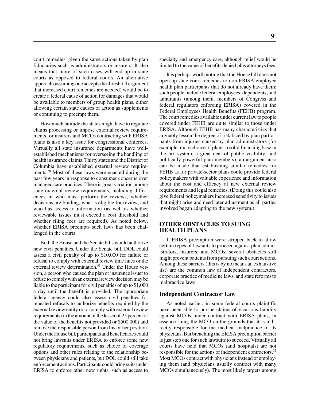court remedies, given the same actions taken by plan fiduciaries such as administrators or insurers. It also means that more of such cases will end up in state courts as opposed to federal courts. An alternative approach (assuming one accepts the threshold argument that increased court remedies are needed) would be to create a federal cause of action for damages that would be available to members of group health plans, either allowing certain state causes of action as supplements or continuing to preempt them.

How much latitude the states might have to regulate claims processing or impose external review requirements for insurers and MCOs contracting with ERISA plans is also a key issue for congressional conferees. Virtually all state insurance departments have wellestablished mechanisms for overseeing the handling of health insurance claims. Thirty states and the District of Columbia have established external review requirements.30 Most of these laws were enacted during the past few years in response to consumer concerns over managed care practices. There is great variation among state external review requirements, including differences in who must perform the reviews, whether decisions are binding, what is eligible for review, and who has access to information (as well as whether reviewable issues must exceed a cost threshold and whether filing fees are required). As noted below, whether ERISA preempts such laws has been challenged in the courts.

Both the House and the Senate bills would authorize new civil penalties. Under the Senate bill, DOL could assess a civil penalty of up to \$10,000 for failure or refusal to comply with external review time lines or the external review determination.<sup>31</sup> Under the House version, a person who caused the plan or insurance issuer to refuse to comply with an external review decision may be liable to the participant for civil penalties of up to \$1,000 a day until the benefit is provided. The appropriate federal agency could also assess civil penalties for repeated refusals to authorize benefits required by the external review entity or to comply with external review requirements (in the amount of the lesser of 25 percent of the value of the benefits not provided or \$500,000) and remove the responsible person from his or her position. Under the House bill, participants and beneficiaries could not bring lawsuits under ERISA to enforce some new regulatory requirements, such as choice of coverage options and other rules relating to the relationship between physicians and patients, but DOL could still take enforcement actions. Participants could bring suits under ERISA to enforce other new rights, such as access to

specialty and emergency care, although relief would be limited to the value of benefits denied plus attorneys fees.

It is perhaps worth noting that the House bill does not open up state court remedies to non-ERISA employee health plan participants that do not already have them; such people include federal employees, dependents, and annuitants (among them, members of Congress and federal regulators enforcing ERISA) covered in the Federal Employees Health Benefits (FEHB) program. The court remedies available under current law to people covered under FEHB are quite similar to those under ERISA. Although FEHB has many characteristics that arguably lessen the degree of risk faced by plan participants from injuries caused by plan administrators (for example, more choice of plans, a solid financing base in the tax system, a great deal of public visibility, and politically powerful plan members), an argument also can be made that establishing similar remedies for FEHB as for private-sector plans could provide federal policymakers with valuable experience and information about the cost and efficacy of new external review requirements and legal remedies. (Doing this could also give federal policymakers increased sensitivity to issues that might arise and need later adjustment as all parties involved began adapting to the new system.)

# **OTHER OBSTACLES TO SUING HEALTH PLANS**

If ERISA preemption were stripped back to allow certain types of lawsuits to proceed against plan administrators, insurers, and MCOs, several obstacles still might prevent patients from pursuing such court actions. Among these barriers (this is by no means an exhaustive list) are the common law of independent contractors, corporate practice of medicine laws, and state reforms to malpractice laws.

#### **Independent Contractor Law**

As noted earlier, in some federal courts plaintiffs have been able to pursue claims of vicarious liability against MCOs under contract with ERISA plans, in essence suing the MCO on the grounds that it is indirectly responsible for the medical malpractice of its physicians. But breaching the ERISA preemption barrier is just step one for such lawsuits to succeed. Virtually all courts have held that MCOs (and hospitals) are not responsible for the actions of independent contractors.<sup>32</sup> Most MCOs contract with physicians instead of employing them (and physicians usually contract with many MCOs simultaneously). The most likely targets among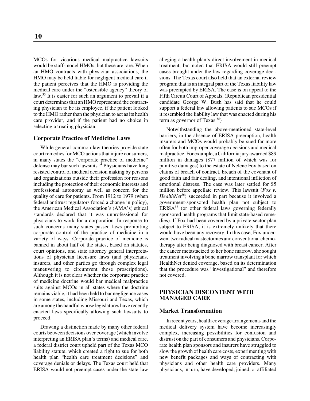MCOs for vicarious medical malpractice lawsuits would be staff-model HMOs, but these are rare. When an HMO contracts with physician associations, the HMO may be held liable for negligent medical care if the patient perceives that the HMO is providing the medical care under the "ostensible agency" theory of law.<sup>33</sup> It is easier for such an argument to prevail if a court determines that an HMO represented the contracting physician to be its employee, if the patient looked to the HMO rather than the physician to act as its health care provider, and if the patient had no choice in selecting a treating physician.

#### **Corporate Practice of Medicine Laws**

While general common law theories provide state court remedies for MCO actions that injure consumers, in many states the "corporate practice of medicine" defense may bar such lawsuits. $3<sup>4</sup>$  Physicians have long resisted control of medical decision making by persons and organizations outside their profession for reasons including the protection of their economic interests and professional autonomy as well as concern for the quality of care for patients. From 1912 to 1979 (when federal antitrust regulators forced a change in policy), the American Medical Association's (AMA's) ethical standards declared that it was unprofessional for physicians to work for a corporation. In response to such concerns many states passed laws prohibiting corporate control of the practice of medicine in a variety of ways. Corporate practice of medicine is banned in about half of the states, based on statutes, court opinions, and state attorney general interpretations of physician licensure laws (and physicians, insurers, and other parties go through complex legal maneuvering to circumvent those proscriptions). Although it is not clear whether the corporate practice of medicine doctrine would bar medical malpractice suits against MCOs in all states where the doctrine remains viable, it had been held to bar negligence cases in some states, including Missouri and Texas, which are among the handful whose legislatures have recently enacted laws specifically allowing such lawsuits to proceed.

Drawing a distinction made by many other federal courts between decisions over coverage (which involve interpreting an ERISA plan's terms) and medical care, a federal district court upheld part of the Texas MCO liability statute, which created a right to sue for both health plan "health care treatment decisions" and coverage denials or delays. The Texas court held that ERISA would not preempt cases under the state law alleging a health plan's direct involvement in medical treatment, but noted that ERISA would still preempt cases brought under the law regarding coverage decisions. The Texas court also held that an external review program that is an integral part of the Texas liability law was preempted by ERISA. The case is on appeal to the Fifth Circuit Court of Appeals. (Republican presidential candidate George W. Bush has said that he could support a federal law allowing patients to sue MCOs if it resembled the liability law that was enacted during his term as governor of Texas. $35$ )

Notwithstanding the above-mentioned state-level barriers, in the absence of ERISA preemption, health insurers and MCOs would probably be sued far more often for both improper coverage decisions and medical malpractice. For example, a California jury awarded \$89 million in damages (\$77 million of which was for punitive damages) to the estate of Nelene Fox based on claims of breach of contract, breach of the covenant of good faith and fair dealing, and intentional infliction of emotional distress. The case was later settled for \$5 million before appellate review. This lawsuit (*Fox v. HealthNet*<sup>36</sup>) succeeded in part because it involved a government-sponsored health plan not subject to  $ERISA<sup>37</sup>$  (or other federal laws governing federally sponsored health programs that limit state-based remedies). If Fox had been covered by a private-sector plan subject to ERISA, it is extremely unlikely that there would have been any recovery. In this case, Fox underwent two radical mastectomies and conventional chemotherapy after being diagnosed with breast cancer. After the cancer metastacized to her bone marrow, she sought treatment involving a bone marrow transplant for which HealthNet denied coverage, based on its determination that the procedure was "investigational" and therefore not covered.

# **PHYSICIAN DISCONTENT WITH MANAGED CARE**

#### **Market Transformation**

In recent years, health coverage arrangements and the medical delivery system have become increasingly complex, increasing possibilities for confusion and distrust on the part of consumers and physicians. Corporate health plan sponsors and insurers have struggled to slow the growth of health care costs, experimenting with new benefit packages and ways of contracting with physicians and other health care providers. Many physicians, in turn, have developed, joined, or affiliated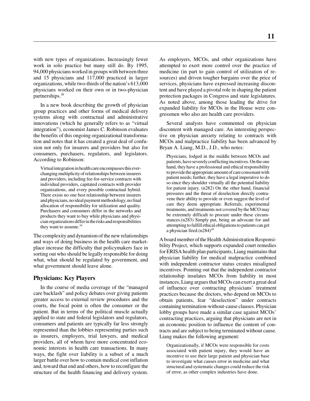with new types of organizations. Increasingly fewer work in solo practice but many still do. By 1995, 94,000 physicians worked in groups with between three and 15 physicians and 117,000 practiced in larger organizations, while two-thirds of the nation's 613,000 physicians worked on their own or in two-physician partnerships.38

In a new book describing the growth of physician group practices and other forms of medical delivery systems along with contractual and administrative innovations (which he generally refers to as "virtual integration"), economist James C. Robinson evaluates the benefits of this ongoing organizational transformation and notes that it has created a great deal of confusion not only for insurers and providers but also for consumers, purchasers, regulators, and legislators. According to Robinson:

Virtual integration in health care encompasses this everchanging multiplicity of relationships between insurers and providers, including fee-for-service contracts with individual providers, capitated contracts with provider organizations, and every possible contractual hybrid. There exists no one best relationship between insurers and physicians, no ideal payment methodology, no final allocation of responsibility for utilization and quality. Purchasers and consumers differ in the networks and products they want to buy while physicians and physician organizations differ in the risks and responsibilities they want to assume.<sup>39</sup>

The complexity and dynamism of the new relationships and ways of doing business in the health care marketplace increase the difficulty that policymakers face in sorting out who should be legally responsible for doing what, what should be regulated by government, and what government should leave alone.

#### **Physicians: Key Players**

In the course of media coverage of the "managed care backlash" and policy debates over giving patients greater access to external review procedures and the courts, the focal point is often the consumer or the patient. But in terms of the political muscle actually applied to state and federal legislators and regulators, consumers and patients are typically far less strongly represented than the lobbies representing parties such as insurers, employers, trial lawyers, and medical providers, all of whom have more concentrated economic interests in health care transactions. In many ways, the fight over liability is a subset of a much larger battle over how to contain medical cost inflation and, toward that end and others, how to reconfigure the structure of the health financing and delivery system. As employers, MCOs, and other organizations have attempted to exert more control over the practice of medicine (in part to gain control of utilization of resources) and driven tougher bargains over the price of services, physicians have expressed increasing discontent and have played a pivotal role in shaping the patient protection packages in Congress and state legislatures. As noted above, among those leading the drive for expanded liability for MCOs in the House were congressmen who also are health care providers.

Several analysts have commented on physician discontent with managed care. An interesting perspective on physician anxiety relating to contracts with MCOs and malpractice liability has been advanced by Bryan A. Liang, M.D., J.D., who notes:

Physicians, lodged in the middle between MCOs and patients, have severely conflicting incentives. On the one hand, they have a professional and ethical responsibility to provide the appropriate amount of care consonant with patient needs; further, they have a legal imperative to do so since they shoulder virtually all the potential liability for patient injury. (n282) On the other hand, financial pressures and the threat of deselection directly contravene their ability to provide or even suggest the level of care they deem appropriate. Referrals, experimental treatments, and treatments not covered by the MCO may be extremely difficult to procure under these circumstances.(n283) Simply put, being an advocate for and attempting to fulfill ethical obligations to patients can get a physician fired. $(n284)^{40}$ 

A board member of the Health Administration Responsibility Project, which supports expanded court remedies for ERISA health plan participants, Liang maintains that physician liability for medical malpractice combined with independent contractor status creates misaligned incentives. Pointing out that the independent contractor relationship insulates MCOs from liability in most instances, Liang argues that MCOs can exert a great deal of influence over contracting physicians' treatment practices because the doctors, who depend on MCOs to obtain patients, fear "deselection" under contracts containing termination-without-cause clauses. Physician lobby groups have made a similar case against MCOs' contracting practices, arguing that physicians are not in an economic position to influence the content of contracts and are subject to being terminated without cause. Liang makes the following argument:

Organizationally, if MCOs were responsible for costs associated with patient injury, they would have an incentive to use their large patient and physician base to investigate what causes error in medicine and what structural and systematic changes could reduce the risk of error, as other complex industries have done.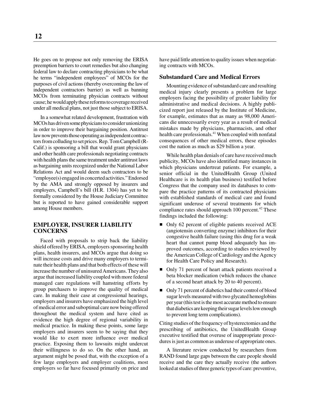He goes on to propose not only removing the ERISA preemption barriers to court remedies but also changing federal law to declare contracting physicians to be what he terms "independent employees" of MCOs for the purposes of civil actions (thereby overcoming the law of independent contractors barrier) as well as banning MCOs from terminating physician contracts without cause; he would apply these reforms to coverage received under all medical plans, not just those subject to ERISA.

In a somewhat related development, frustration with MCOs has driven some physicians to consider unionizing in order to improve their bargaining position. Antitrust law now prevents those operating as independent contractors from colluding to set prices. Rep. Tom Campbell (R-Calif.) is sponsoring a bill that would grant physicians and other health care professionals negotiating contracts with health plans the same treatment under antitrust laws as bargaining units recognized under the National Labor Relations Act and would deem such contractors to be "employee(s) engaged in concerted activities." Endorsed by the AMA and strongly opposed by insurers and employers, Campbell's bill (H.R. 1304) has yet to be formally considered by the House Judiciary Committee but is reported to have gained considerable support among House members.

## **EMPLOYER, INSURER LIABILITY CONCERNS**

Faced with proposals to strip back the liability shield offered by ERISA, employers sponsoring health plans, health insurers, and MCOs argue that doing so will increase costs and drive many employers to terminate their health plans and that both effects of these will increase the number of uninsured Americans. They also argue that increased liability coupled with more federal managed care regulations will hamstring efforts by group purchasers to improve the quality of medical care. In making their case at congressional hearings, employers and insurers have emphasized the high level of medical error and suboptimal care now being offered throughout the medical system and have cited as evidence the high degree of regional variability in medical practice. In making these points, some large employers and insurers seem to be saying that they would like to exert more influence over medical practice. Exposing them to lawsuits might undercut their willingness to do so. On the other hand, an argument might be posed that, with the exception of a few large employers and employer coalitions, most employers so far have focused primarily on price and

have paid little attention to quality issues when negotiating contracts with MCOs.

#### **Substandard Care and Medical Errors**

Mounting evidence of substandard care and resulting medical injury clearly presents a problem for large employers facing the possibility of greater liability for administrative and medical decisions. A highly publicized report just released by the Institute of Medicine, for example, estimates that as many as 98,000 Americans die unnecessarily every year as a result of medical mistakes made by physicians, pharmacists, and other health care professionals.<sup>41</sup> When coupled with nonfatal consequences of other medical errors, these episodes cost the nation as much as \$29 billion a year.

While health plan denials of care have received much publicity, MCOs have also identified many instances in which physicians undertreat patients. For example, a senior official in the UnitedHealth Group (United Healthcare is its health plan business) testified before Congress that the company used its databases to compare the practice patterns of its contracted physicians with established standards of medical care and found significant underuse of several treatments for which compliance rates should approach 100 percent.<sup>42</sup> These findings included the following:

- $\blacksquare$  Only 62 percent of eligible patients received ACE (angiotensin converting enzyme) inhibitors for their congestive health failure (using this drug for a weak heart that cannot pump blood adequately has improved outcomes, according to studies reviewed by the American College of Cardiology and the Agency for Health Care Policy and Research).
- Only 71 percent of heart attack patients received a beta blocker medication (which reduces the chance of a second heart attack by 20 to 40 percent).
- Only 71 percent of diabetics had their control of blood sugar levels measured with two glycated hemoglobins per year (this test is the most accurate method to ensure that diabetics are keeping their sugar levels low enough to prevent long term complications).

Citing studies of the frequency of hysterectomies and the prescribing of antibiotics, the UnitedHealth Group executive testified that overuse of inappropriate procedures is just as common as underuse of appropriate ones.

A literature review conducted by researchers from RAND found large gaps between the care people should receive and the care they actually receive (the authors looked at studies of three generic types of care: preventive,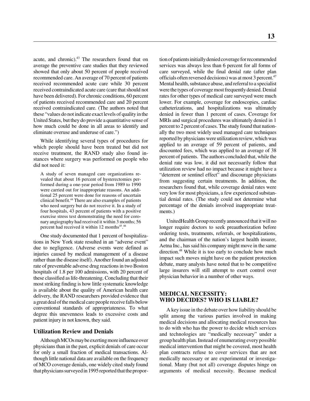acute, and chronic).<sup>43</sup> The researchers found that on average the preventive care studies that they reviewed showed that only about 50 percent of people received recommended care. An average of 70 percent of patients received recommended acute care while 30 percent received contraindicated acute care (care that should not have been delivered). For chronic conditions, 60 percent of patients received recommended care and 20 percent received contraindicated care. (The authors noted that these "values do not indicate exact levels of quality in the United States, but they do provide a quantitative sense of how much could be done in all areas to identify and eliminate overuse and underuse of care.")

While identifying several types of procedures for which people should have been treated but did not receive treatment, the RAND study also found instances where surgery was performed on people who did not need it:

A study of seven managed care organizations revealed that about 16 percent of hysterectomies performed during a one-year period from 1989 to 1990 were carried out for inappropriate reasons. An additional 25 percent were done for reasons of uncertain clinical benefit.44 There are also examples of patients who need surgery but do not receive it. In a study of four hospitals, 43 percent of patients with a positive exercise stress test demonstrating the need for coronary angiography had received it within 3 months; 56 percent had received it within 12 months<sup>45</sup>.<sup>46</sup>

One study documented that 1 percent of hospitalizations in New York state resulted in an "adverse event" due to negligence. (Adverse events were defined as injuries caused by medical management of a disease rather than the disease itself). Another found an adjusted rate of preventable adverse drug reactions in two Boston hospitals of 1.8 per 100 admissions, with 20 percent of these classified as life-threatening. Concluding that their most striking finding is how little systematic knowledge is available about the quality of American health care delivery, the RAND researchers provided evidence that a great deal of the medical care people receive falls below conventional standards of appropriateness. To what degree this unevenness leads to excessive costs and patient injury in not known, they said.

#### **Utilization Review and Denials**

Although MCOs may be exerting more influence over physicians than in the past, explicit denials of care occur for only a small fraction of medical transactions. Although little national data are available on the frequency of MCO coverage denials, one widely cited study found that physicians surveyed in 1995 reported that the proportion of patients initially denied coverage for recommended services was always less than 6 percent for all forms of care surveyed, while the final denial rate (after plan officials often reversed decisions) was at most 3 percent.47 Mental health, substance abuse, and referral to a specialist were the types of coverage most frequently denied. Denial rates for other types of medical care surveyed were much lower. For example, coverage for endoscopies, cardiac catheterizations, and hospitalizations was ultimately denied in fewer than 1 percent of cases. Coverage for MRIs and surgical procedures was ultimately denied in 1 percent to 2 percent of cases. The study found that nationally the two most widely used managed care techniques reported by physicians were utilization review, which was applied to an average of 59 percent of patients, and discounted fees, which was applied to an average of 38 percent of patients. The authors concluded that, while the denial rate was low, it did not necessarily follow that utilization review had no impact because it might have a "deterrent or sentinel effect" and discourage physicians from suggesting certain treatments. In addition, the researchers found that, while coverage denial rates were very low for most physicians, a few experienced substantial denial rates. (The study could not determine what percentage of the denials involved inappropriate treatments.)

UnitedHealth Group recently announced that it will no longer require doctors to seek preauthorization before ordering tests, treatments, referrals, or hospitalizations, and the chairman of the nation's largest health insurer, Aetna Inc., has said his company might move in the same direction.<sup>48</sup> While it is too early to conclude how much impact such moves might have on the patient protection debate, many analysts have noted that to be competitive large insurers will still attempt to exert control over physician behavior in a number of other ways.

## **MEDICAL NECESSITY: WHO DECIDES? WHO IS LIABLE?**

A key issue in the debate over how liability should be split among the various parties involved in making medical decisions and allocating medical resources has to do with who has the power to decide which services and technologies are "medically necessary" under a group health plan. Instead of enumerating every possible medical intervention that might be covered, most health plan contracts refuse to cover services that are not medically necessary or are experimental or investigational. Many (but not all) coverage disputes hinge on arguments of medical necessity. Because medical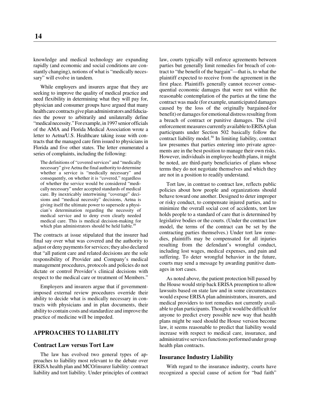knowledge and medical technology are expanding rapidly (and economic and social conditions are constantly changing), notions of what is "medically necessary" will evolve in tandem.

While employers and insurers argue that they are seeking to improve the quality of medical practice and need flexibility in determining what they will pay for, physician and consumer groups have argued that many health care contracts give plan administrators and fiduciaries the power to arbitrarily and unilaterally define "medical necessity." For example, in 1997 senior officials of the AMA and Florida Medical Association wrote a letter to Aetna/U.S. Healthcare taking issue with contracts that the managed care firm issued to physicians in Florida and five other states. The letter enumerated a series of complaints, including the following:

The definitions of "covered services" and "medically necessary" give Aetna the final authority to determine whether a service is "medically necessary" and consequently, on whether it is "covered," regardless of whether the service would be considered "medically necessary" under accepted standards of medical care. By inextricably intertwining "coverage" decisions and "medical necessity" decisions, Aetna is giving itself the ultimate power to supersede a physician's determination regarding the necessity of medical service and to deny even clearly needed medical care. This is medical decision-making for which plan administrators should be held liable.<sup>49</sup>

The contracts at issue stipulated that the insurer had final say over what was covered and the authority to adjust or deny payments for services; they also declared that "all patient care and related decisions are the sole responsibility of Provider and Company's medical management procedures, protocols and policies do not dictate or control Provider's clinical decisions with respect to the medical care or treatment of Members."

Employers and insurers argue that if governmentimposed external review procedures override their ability to decide what is medically necessary in contracts with physicians and in plan documents, their ability to contain costs and standardize and improve the practice of medicine will be impeded.

#### **APPROACHES TO LIABILITY**

### **Contract Law versus Tort Law**

The law has evolved two general types of approaches to liability most relevant to the debate over ERISA health plan and MCO/insurer liability: contract liability and tort liability. Under principles of contract

law, courts typically will enforce agreements between parties but generally limit remedies for breach of contract to "the benefit of the bargain"—that is, to what the plaintiff expected to receive from the agreement in the first place. Plaintiffs generally cannot recover consequential economic damages that were not within the reasonable contemplation of the parties at the time the contract was made (for example, unanticipated damages caused by the loss of the originally bargained-for benefit) or damages for emotional distress resulting from a breach of contract or punitive damages. The civil enforcement measures currently available to ERISA plan participants under Section 502 basically follow the contract liability model.<sup>50</sup> In limiting liability, contract law presumes that parties entering into private agreements are in the best position to manage their own risks. However, individuals in employee health plans, it might be noted, are third-party beneficiaries of plans whose terms they do not negotiate themselves and which they are not in a position to readily understand.

Tort law, in contrast to contract law, reflects public policies about how people and organizations should behave toward one another. Designed to deter improper or risky conduct, to compensate injured parties, and to minimize the overall social cost of accidents, tort law holds people to a standard of care that is determined by legislative bodies or the courts. (Under the contract law model, the terms of the contract can be set by the contracting parties themselves.) Under tort law remedies, plaintiffs may be compensated for all injuries resulting from the defendant's wrongful conduct, including lost wages, medical expenses, and pain and suffering. To deter wrongful behavior in the future, courts may send a message by awarding punitive damages in tort cases.

As noted above, the patient protection bill passed by the House would strip back ERISA preemption to allow lawsuits based on state law and in some circumstances would expose ERISA plan administrators, insurers, and medical providers to tort remedies not currently available to plan participants. Though it would be difficult for anyone to predict every possible new way that health plans might be sued should the House version become law, it seems reasonable to predict that liability would increase with respect to medical care, insurance, and administrative services functions performed under group health plan contracts.

#### **Insurance Industry Liability**

With regard to the insurance industry, courts have recognized a special cause of action for "bad faith"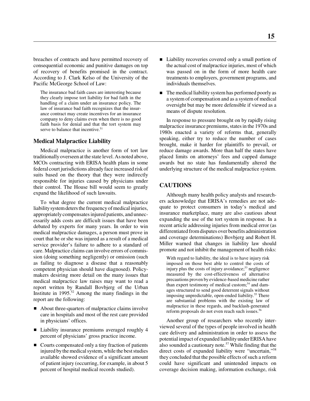breaches of contracts and have permitted recovery of consequential economic and punitive damages on top of recovery of benefits promised in the contract. According to J. Clark Kelso of the University of the Pacific McGeorge School of Law:

The insurance bad faith cases are interesting because they clearly impose tort liability for bad faith in the handling of a claim under an insurance policy. The law of insurance bad faith recognizes that the insurance contract may create incentives for an insurance company to deny claims even when there is no good faith basis for denial and that the tort system may serve to balance that incentive.<sup>51</sup>

#### **Medical Malpractice Liability**

Medical malpractice is another form of tort law traditionally overseen at the state level. As noted above, MCOs contracting with ERISA health plans in some federal court jurisdictions already face increased risk of suits based on the theory that they were indirectly responsible for injuries caused by physicians under their control. The House bill would seem to greatly expand the likelihood of such lawsuits.

To what degree the current medical malpractice liability system deters the frequency of medical injuries, appropriately compensates injured patients, and unnecessarily adds costs are difficult issues that have been debated by experts for many years. In order to win medical malpractice damages, a person must prove in court that he or she was injured as a result of a medical service provider's failure to adhere to a standard of care. Malpractice claims can involve errors of commission (doing something negligently) or omission (such as failing to diagnose a disease that a reasonably competent physician should have diagnosed). Policymakers desiring more detail on the many issues that medical malpractice law raises may want to read a report written by Randall Bovbjerg of the Urban Institute in  $1995<sup>52</sup>$  Among the many findings in the report are the following:

- About three-quarters of malpractice claims involve care in hospitals and most of the rest care provided in physicians' offices.
- Liability insurance premiums averaged roughly 4 percent of physicians' gross practice income.
- Courts compensated only a tiny fraction of patients injured by the medical system, while the best studies available showed evidence of a significant amount of patient injury (occurring, for example, in about 5 percent of hospital medical records studied).
- Liability recoveries covered only a small portion of the actual cost of malpractice injuries, most of which was passed on in the form of more health care treatments to employers, government programs, and individuals themselves.
- $\blacksquare$  The medical liability system has performed poorly as a system of compensation and as a system of medical oversight but may be more defensible if viewed as a means of dispute resolution.

In response to pressure brought on by rapidly rising malpractice insurance premiums, states in the 1970s and 1980s enacted a variety of reforms that, generally speaking, either try to reduce the number of cases brought, make it harder for plaintiffs to prevail, or reduce damage awards. More than half the states have placed limits on attorneys' fees and capped damage awards but no state has fundamentally altered the underlying structure of the medical malpractice system.

# **CAUTIONS**

Although many health policy analysts and researchers acknowledge that ERISA's remedies are not adequate to protect consumers in today's medical and insurance marketplace, many are also cautious about expanding the use of the tort system in response. In a recent article addressing injuries from medical error (as differentiated from disputes over benefits administration and coverage determinations) Bovbjerg and Robert H. Miller warned that changes in liability law should promote and not inhibit the management of health risks:

With regard to liability, the ideal is to have injury risk imposed on those best able to control the costs of injury plus the costs of injury avoidance; $53$  negligence measured by the cost-effectiveness of alternative precautions proven by evidence-based medicine rather than expert testimony of medical custom;<sup>54</sup> and damages structured to send good deterrent signals without imposing unpredictable, open-ended liability.<sup>55</sup> There are substantial problems with the existing law of malpractice in these regards, and backlash-generated reform proposals do not even reach such issues.<sup>56</sup>

Another group of researchers who recently interviewed several of the types of people involved in health care delivery and administration in order to assess the potential impact of expanded liability under ERISA have also sounded a cautionary note.<sup>57</sup> While finding that the direct costs of expanded liability were "uncertain,"<sup>58</sup> they concluded that the possible effects of such a reform could have significant and unintended impacts on coverage decision making, information exchange, risk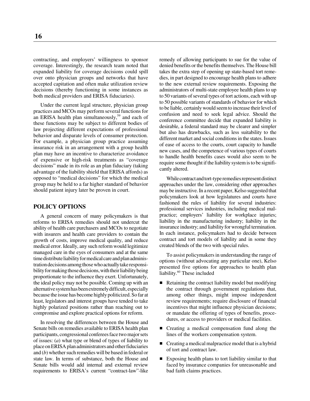contracting, and employers' willingness to sponsor coverage. Interestingly, the research team noted that expanded liability for coverage decisions could spill over onto physician groups and networks that have accepted capitation and often make utilization review decisions (thereby functioning in some instances as both medical providers and ERISA fiduciaries).

Under the current legal structure, physician group practices and MCOs may perform several functions for an ERISA health plan simultaneously,<sup>59</sup> and each of these functions may be subject to different bodies of law projecting different expectations of professional behavior and disparate levels of consumer protection. For example, a physician group practice assuming insurance risk in an arrangement with a group health plan may have an incentive to characterize avoidance of expensive or high-risk treatments as "coverage decisions" made in its role as an plan fiduciary (taking advantage of the liability shield that ERISA affords) as opposed to "medical decisions" for which the medical group may be held to a far higher standard of behavior should patient injury later be proven in court.

## **POLICY OPTIONS**

A general concern of many policymakers is that reforms to ERISA remedies should not undercut the ability of health care purchasers and MCOs to negotiate with insurers and health care providers to contain the growth of costs, improve medical quality, and reduce medical error. Ideally, any such reform would legitimize managed care in the eyes of consumers and at the same time distribute liability for medical care and plan administration decisions among those who actually take responsibility for making those decisions, with their liability being proportionate to the influence they exert. Unfortunately, the ideal policy may not be possible. Coming up with an alternative system has been extremely difficult, especially because the issue has become highly politicized. So far at least, legislators and interest groups have tended to take highly polarized positions rather than reaching out to compromise and explore practical options for reform.

In resolving the differences between the House and Senate bills on remedies available to ERISA health plan participants, congressional conferees face two major sets of issues: (*a*) what type or blend of types of liability to place on ERISA plan administrators and other fiduciaries and (*b*) whether such remedies will be based in federal or state law. In terms of substance, both the House and Senate bills would add internal and external review requirements to ERISA's current "contract-law"-like remedy of allowing participants to sue for the value of denied benefits or the benefits themselves. The House bill takes the extra step of opening up state-based tort remedies, in part designed to encourage health plans to adhere to the new external review requirements. Exposing the administrators of multi-state employee health plans to up to 50 variants of several types of tort actions, each with up to 50 possible variants of standards of behavior for which to be liable, certainly would seem to increase their level of confusion and need to seek legal advice. Should the conference committee decide that expanded liability is desirable, a federal standard may be clearer and simpler but also has drawbacks, such as less suitability to the different market and social conditions in the states. Issues of ease of access to the courts, court capacity to handle new cases, and the competence of various types of courts to handle health benefits cases would also seem to be require some thought if the liability system is to be significantly altered.

While contract and tort-type remedies represent distinct approaches under the law, considering other approaches may be instructive. In a recent paper, Kelso suggested that policymakers look at how legislatures and courts have fashioned the rules of liability for several industries: professional services industries, including medical malpractice; employers' liability for workplace injuries; liability in the manufacturing industry; liability in the insurance industry; and liability for wrongful termination. In each instance, policymakers had to decide between contract and tort models of liability and in some they created blends of the two with special rules.

To assist policymakers in understanding the range of options (without advocating any particular one), Kelso presented five options for approaches to health plan liability.<sup>60</sup> These included

- Retaining the contract liability model but modifying the contract through government regulations that, among other things, might impose independent review requirements; require disclosure of financial incentives that might influence physician decisions; or mandate the offering of types of benefits, procedures, or access to providers or medical facilities.
- Creating a medical compensation fund along the lines of the workers compensation system.
- Creating a medical malpractice model that is a hybrid of tort and contract law.
- Exposing health plans to tort liability similar to that faced by insurance companies for unreasonable and bad faith claims practices.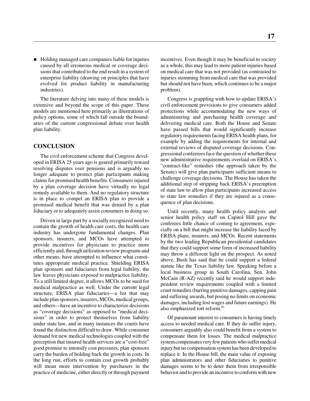■ Holding managed care companies liable for injuries caused by all erroneous medical or coverage decisions that contributed to the end result in a system of enterprise liability (drawing on principles that have evolved for product liability in manufacturing industries).

The literature delving into many of these models is extensive and beyond the scope of this paper. These models are mentioned here primarily as illustrations of policy options, some of which fall outside the boundaries of the current congressional debate over health plan liability.

# **CONCLUSION**

The civil enforcement scheme that Congress developed in ERISA 25 years ago is geared primarily toward resolving disputes over pensions and is arguably no longer adequate to protect plan participants making claims for promised health benefits. Consumers injured by a plan coverage decision have virtually no legal remedy available to them. And no regulatory structure is in place to compel an ERISA plan to provide a promised medical benefit that was denied by a plan fiduciary or to adequately assist consumers in doing so.

Driven in large part by a socially recognized need to contain the growth of health care costs, the health care industry has undergone fundamental changes. Plan sponsors, insurers, and MCOs have attempted to provide incentives for physicians to practice more efficiently and, through utilization review programs and other means, have attempted to influence what constitutes appropriate medical practice. Shielding ERISA plan sponsors and fiduciaries from legal liability, the law leaves physicians exposed to malpractice liability. To a still limited degree, it allows MCOs to be sued for medical malpractice as well. Under the current legal structure, ERISA plan fiduciaries—a list that may include plan sponsors, insurers, MCOs, medical groups, and others—have an incentive to characterize decisions as "coverage decisions" as opposed to "medical decisions" in order to protect themselves from liability under state law, and in many instances the courts have found the distinction difficult to draw. While consumer demand for new medical technologies coupled with the perception that insured health services are a "cost-free" good promise to intensify cost pressures, plan sponsors carry the burden of holding back the growth in costs. In the long run, efforts to contain cost growth probably will mean more intervention by purchasers in the practice of medicine, either directly or through payment

incentives. Even though it may be beneficial to society as a whole, this may lead to more patient injuries based on medical care that was not provided (as contrasted to injuries stemming from medical care that was provided but should not have been, which continues to be a major problem).

Congress is grappling with how to update ERISA's civil enforcement provisions to give consumers added protections while accommodating the new ways of administering and purchasing health coverage and delivering medical care. Both the House and Senate have passed bills that would significantly increase regulatory requirements facing ERISA health plans, for example by adding the requirements for internal and external reviews of disputed coverage decisions. Congressional conferrees face the question of whether these new administrative requirements overlaid on ERISA's "contract-like" remedies (the approach taken by the Senate) will give plan participants sufficient means to challenge coverage decisions. The House has taken the additional step of stripping back ERISA's preemption of state law to allow plan participants increased access to state law remedies if they are injured as a consequence of plan decisions.

Until recently, many health policy analysts and senior health policy staff on Capitol Hill gave the conferees little chance of coming to agreement, especially on a bill that might increase the liability faced by ERISA plans, insurers, and MCOs. Recent statements by the two leading Republican presidential candidates that they could support some form of increased liability may throw a different light on the prospect. As noted above, Bush has said that he could support a federal statute like the Texas liability law. Speaking before a local business group in South Carolina, Sen. John McCain (R-AZ) recently said he would support independent review requirements coupled with a limited court remedies (barring punitive damages, capping pain and suffering awards, but posing no limits on economic damages, including lost wages and future earnings). He also emphasized tort reform.<sup>61</sup>

Of paramount interest to consumers is having timely access to needed medical care. If they do suffer injury, consumers arguably also could benefit from a system to compensate them for losses. The medical malpractice system compensates very few patients who suffer medical injury but no compensation system has been developed to replace it. In the House bill, the main value of exposing plan administrators and other fiduciaries to punitive damages seems to be to deter them from irresponsible behavior and to provide an incentive to conform with new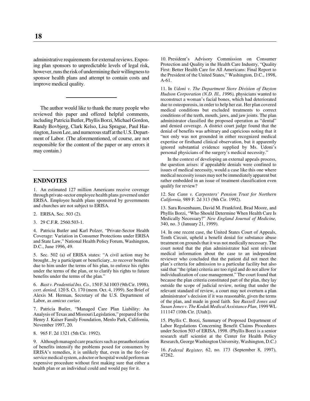administrative requirements for external reviews. Exposing plan sponsors to unpredictable levels of legal risk, however, runs the risk of undermining their willingness to sponsor health plans and attempt to contain costs and improve medical quality.

The author would like to thank the many people who reviewed this paper and offered helpful comments, including Patricia Butler, Phyllis Borzi, Michael Gordon, Randy Bovbjerg, Clark Kelso, Lisa Sprague, Paul Harrington, Jason Lee, and numerous staff at the U.S. Department of Labor. (The aforementioned, of course, are not responsible for the content of the paper or any errors it may contain.)

## **ENDNOTES**

1. An estimated 127 million Americans receive coverage through private-sector employee health plans governed under ERISA. Employee health plans sponsored by governments and churches are not subject to ERISA.

- 2. ERISA, Sec. 503 (2).
- 3. 29 C.F.R. 2560.503-1.

4. Patricia Butler and Karl Polzer, "Private-Sector Health Coverage: Variation in Consumer Protections under ERISA and State Law," National Health Policy Forum, Washington, D.C., June 1996, 49.

5. Sec. 502 (a) of ERISA states: "A civil action may be brought...by a participant or beneficiary...to recover benefits due to him under the terms of his plan, to enforce his rights under the terms of the plan, or to clarify his rights to future benefits under the terms of the plan."

6. *Bast v. Prudential Ins. Co.,* 150 F.3d 1003 (9th Cir. 1998), *cert. denied,* 120 S. Ct. 170 (mem. Oct. 4, 1999). See Brief of Alexis M. Herman, Secretary of the U.S. Department of Labor, as *amicus curiae*.

7. Patricia Butler, "Managed Care Plan Liability: An Analysis of Texas and Missouri Legislation," prepared for the Henry J. Kaiser Family Foundation, Menlo Park, California, November 1997, 20.

8. 965 F. 2d 1321 (5th Cir. 1992).

9. Although managed care practices such as preauthorization of benefits intensify the problems posed for consumers by ERISA's remedies, it is unlikely that, even in the fee-forservice medical system, a doctor or hospital would perform an expensive procedure without first making sure that either a health plan or an individual could and would pay for it.

10. President's Advisory Commission on Consumer Protection and Quality in the Health Care Industry, "Quality First: Better Health Care for All Americans: Final Report to the President of the United States," Washington, D.C., 1998, A-61.

11. In *Udoni v. The Department Store Division of Dayton Hudson Corporation (N.D. Ill., 1996),* physicians wanted to reconstruct a woman's facial bones, which had deteriorated due to osteoporosis, in order to help her eat. Her plan covered medical conditions but excluded treatments to correct conditions of the teeth, mouth, jaws, and jaw joints. The plan administrator classified the proposed operation as "dental" and denied coverage. A district court judge found that the denial of benefits was arbitrary and capricious noting that it "not only was not grounded in either recognized medical expertise or firsthand clinical observation, but it apparently ignored substantial evidence supplied by Ms. Udoni's personal physicians of the surgery's medical necessity."

In the context of developing an external appeals process, the question arises: if appealable denials were confined to issues of medical necessity, would a case like this one where medical necessity issues may not be immediately apparent but rather embedded in an issue of treatment classification even qualify for review?

12. See *Cann v. Carpenters' Pension Trust for Northern California,* 989 F. 2d 313 (9th Cir. 1992).

13. Sara Rosenbaum, David M. Frankford, Brad Moore, and Phyllis Borzi, "Who Should Determine When Health Care Is Medically Necessary?" *New England Journal of Medicine,* 340, no. 3 (January 21, 1999).

14. In one recent case, the United States Court of Appeals, Tenth Circuit, upheld a benefit denial for substance abuse treatment on grounds that it was not medically necessary. The court noted that the plan administrator had sent relevant medical information about the case to an independent reviewer who concluded that the patient did not meet the plan's criteria for admission to a particular facility but also said that "the (plan) criteria are too rigid and do not allow for individualization of case management." The court found that because the plan criteria constituted part of the plan, they lay outside the scope of judicial review, noting that under the relevant standard of review, a court may not overturn a plan administrator's decision if it was reasonable, given the terms of the plan, and made in good faith. See *Russell Jones and Susan Jones v. The Kodak Medical Assistance Plan,* 1999 WL 111147 (10th Cir. [Utah]).

15. Phyllis C. Borzi, Summary of Proposed Department of Labor Regulations Concerning Benefit Claims Procedures under Section 503 of ERISA, 1998. (Phyllis Borzi is a senior research staff scientist at the Center for Health Policy Research, George Washington University, Washington, D.C.)

16. *Federal Register*, 62, no. 173 (September 8, 1997), 47262.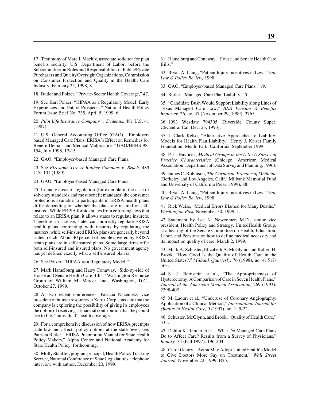17. Testimony of Marc I. Machiz, associate solicitor for plan benefits security, U.S. Department of Labor, before the Subcommittee on Roles and Responsibilities of Public/Private Purchasers and Quality Oversight Organizations, Commission on Consumer Protection and Quality in the Health Care Industry, February 25, 1998, 8.

18. Butler and Polzer, "Private-Sector Health Coverage," 47.

19. See Karl Polzer, "HIPAA as a Regulatory Model: Early Experiences and Future Prospects," National Health Policy Forum Issue Brief No. 735, April 5, 1999, 6.

20. *Pilot Life Insurance Company v. Dedeaux,* 481 U.S. 41 (1987).

21. U.S. General Accounting Office (GAO), "Employerbased Managed Care Plans: ERISA's Effect on Remedies for Benefit Denials and Medical Malpractice," GAO/HEHS-98- 154, July 1998, 12-15.

22. GAO, "Employer-based Managed Care Plans."

23. See *Firestone Tire & Rubber Company v. Bruch,* 489 U.S. 101 (1989).

24. GAO, "Employer-based Managed Care Plans."

25. In many areas of regulation (for example in the case of solvency standards and most benefit mandates) the consumer protections available to participants in ERISA health plans differ depending on whether the plans are insured or selfinsured. While ERISA forbids states from enforcing laws that relate to an ERISA plan, it allows states to regulate insurers. Therefore, in a sense, states can indirectly regulate ERISA health plans contracting with insurers by regulating the insurers, while self-insured ERISA plans are generally beyond states' reach. About 40 percent of people covered by ERISA heath plans are in self-insured plans. Some large firms offer both self-insured and insured plans. No government agency has yet defined exactly what a self-insured plan is.

26. See Polzer, "HIPAA as a Regulatory Model."

27. Mark Hamelburg and Harry Conaway, "Side-by-side of House and Senate Health Care Bills," Washington Resource Group of William M. Mercer, Inc., Washington, D.C., October 27, 1999.

28. At two recent conferences, Patricia Nazemetz, vice president of human resources at Xerox Corp., has said that the company is exploring the possibility of giving its employees the option of receiving a financial contribution that they could use to buy "individual" health coverage.

29. For a comprehensive discussion of how ERISA preempts state law and affects policy options at the state level, see: Patricia Butler, "ERISA Preemption Manual for State Health Policy Makers," Alpha Center and National Academy for State Health Policy, forthcoming.

30. Molly Stauffer, program principal, Health Policy Tracking Service, National Conference of State Legislatures, telephone interview with author, December 20, 1999.

31. Hamelburg and Conaway, "House and Senate Health Care Bills."

32. Bryan A. Liang, "Patient Injury Incentives in Law," *Yale Law & Policy Review,* 1998.

33. GAO, "Employer-based Managed Care Plans," 19.

34. Butler, "Managed Care Plan Liability," 5.

35. "Candidate Bush Would Support Liability along Lines of Texas Managed Care Law," *BNA Pension & Benefits Reporter,* 26, no. 47 (November 29, 1999): 2765.

36. 1993 Westlaw 794305 (Riverside County Super. Ct/Central Cal. Dec. 23, 1993).

37. J. Clark Kelso, "Alternative Approaches to Liability: Models for Health Plan Liability," Henry J. Kaiser Family Foundation, Menlo Park, California, September 1999.

38. P. L. Havlicek, *Medical Groups in the U.S.: A Survey of Practice Characteristics* (Chicago: American Medical Association, Department of Data Survey and Planning, 1996).

39. James C. Robinson, *The Corporate Practice of Medicine* (Berkeley and Los Angeles, Calif.: Milbank Memorial Fund and University of California Press, 1999), 88.

40. Bryan A. Liang, "Patient Injury Incentives in Law," *Yale Law & Policy Review,* 1998.

41. Rick Weiss, "Medical Errors Blamed for Many Deaths," *Washington Post,* November 30, 1999, 1.

42. Statement by Lee N. Newcomer, M.D., senior vice president, Health Policy and Strategy, UnitedHealth Group, at a hearing of the Senate Committee on Health, Education, Labor, and Pensions on how to define medical necessity and its impact on quality of care, March 2, 1999.

43. Mark A. Schuster, Elizabeth A. McGlynn, and Robert H. Brook, "How Good Is the Quality of Health Care in the United States?," *Milbank Quarterly,* 76 (1998), no. 4: 517- 563.

44. S. J. Bernstein et al., "The Appropriateness of Hysterectomy: A Comparison of Care in Seven Health Plans," *Journal of the American Medical Association,* 269 (1993): 2398-402.

45. M. Laouri et al., "Underuse of Coronary Angiography: Application of a Clinical Method," *International Journal for Quality in Health Care,* 9 (1997), no. 1: 5-22.

46. Schuster, McGlynn, and Brook, "Quality of Health Care," 535.

47. Dahlia K. Remler et al., "What Do Managed Care Plans Do to Affect Care? Results from a Survey of Physicians," *Inquiry,* 34 (Fall 1997): 196-204.

48. Carol Gentry, "Aetna May Adopt UnitedHealth's Model to Give Doctors More Say on Treatment," *Wall Street Journal,* November 22, 1999, B25.